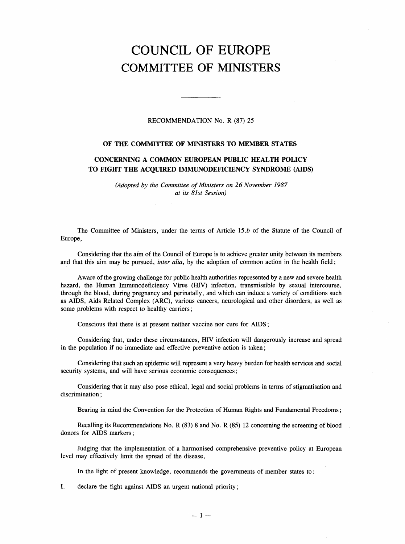# COUNCIL OF EUROPE COMMITTEE OF MINISTERS

# RECOMMENDATION No. R (87) 25

# OF THE COMMITTEE OF MINISTERS TO MEMBER STATES

# CONCERNING A COMMON EUROPEAN PUBLIC HEALTH POLICY TO FIGHT THE ACQUIRED IMMUNODEFICIENCY SYNDROME (AIDS)

(Adopted by the Committee of Ministers on 26 November 1987 at its 81st Session)

The Committee of Ministers, under the terms of Article 15.b of the Statute of the Council of Europe,

Considering that the aim of the Council of Europe is to achieve greater unity between its members and that this aim may be pursued, *inter alia*, by the adoption of common action in the health field;

Aware of the growing challenge for public health authorities represented by a new and severe health hazard, the Human Immunodeficiency Virus (HIV) infection, transmissible by sexual intercourse, through the blood, during pregnancy and perinatally, and which can induce a variety of conditions such as AIDS, Aids Related Complex (ARC), various cancers, neurological and other disorders, as well as some problems with respect to healthy carriers;

Conscious that there is at present neither vaccine nor cure for AIDS;

Considering that, under these circumstances, HIV infection will dangerously increase and spread in the population if no immediate and effective preventive action is taken;

Considering that such an epidemic will represent a very heavy burden for health services and social security systems, and will have serious economic consequences;

Considering that it may also pose ethical, legal and social problems in terms of stigmatisation and discrimination;

Bearing in mind the Convention for the Protection of Human Rights and Fundamental Freedoms;

Recalling its Recommendations No. R (83) 8 and No. R (85) 12 concerning the screening of blood donors for AIDS markers;

Judging that the implementation of a harmonised comprehensive preventive policy at European level may effectively limit the spread of the disease,

In the light of present knowledge, recommends the governments of member states to:

I. declare the fight against AIDS an urgent national priority;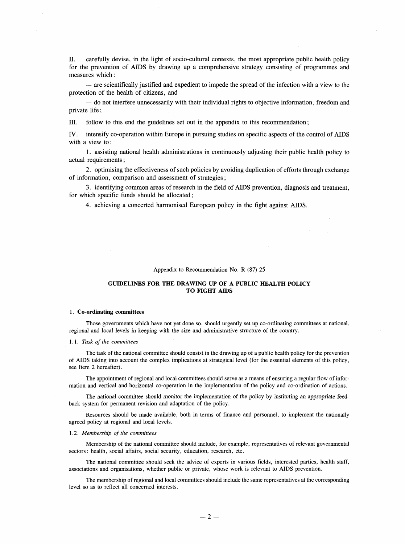II. carefully devise, in the light of socio-cultural contexts, the most appropriate public health policy for the prevention of AIDS by drawing up a comprehensive strategy consisting of programmes and measures which:

- are scientifically justified and expedient to impede the spread of the infection with a view to the protection of the health of citizens, and

- do not interfere unnecessarily with their individual rights to objective information, freedom and private life;

III. follow to this end the guidelines set out in the appendix to this recommendation;

IV. intensify co-operation within Europe in pursuing studies on specific aspects of the control of AIDS with a view to:

1. assisting national health administrations in continuously adjusting their public health policy to actual requirements;

2. optimising the effectiveness of such policies by avoiding duplication of efforts through exchange of information, comparison and assessment of strategies;

3. identifying common areas of research in the field of AIDS prevention, diagnosis and treatment, for which specific funds should be allocated;

4. achieving a concerted harmonised European policy in the fight against AIDS.

# Appendix to Recommendation No. R (87) 25

# GUIDELINES FOR THE DRAWING UP OF A PUBLIC HEALTH POLICY TO FIGHT AIDS

## 1. Co-ordinating committees

Those governments which have not yet done so, should urgently set up co-ordinating committees at national, regional and local levels in keeping with the size and administrative structure of the country.

# 1.1. Task of the committees

The task of the national committee should consist in the drawing up of a public health policy for the prevention of AIDS taking into account the complex implications at strategical level (for the essential elements of this policy, see Item 2 hereafter).

The appointment of regional and local committees should serve as a means of ensuring a regular flow of information and vertical and horizontal co-operation in the implementation of the policy and co-ordination of actions.

The national committee should monitor the implementation of the policy by instituting an appropriate feedback system for permanent revision and adaptation of the policy.

Resources should be made available, both in terms of finance and personnel, to implement the nationally agreed policy at regional and local levels.

## 1.2. Membership of the committees

Membership of the national committee should include, for example, representatives of relevant governmental sectors: health, social affairs, social security, education, research, etc.

The national committee should seek the advice of experts in various fields, interested parties, health staff, associations and organisations, whether public or private, whose work is relevant to AIDS prevention.

The membership of regional and local committees should include the same representatives at the corresponding level so as to reflect all concerned interests.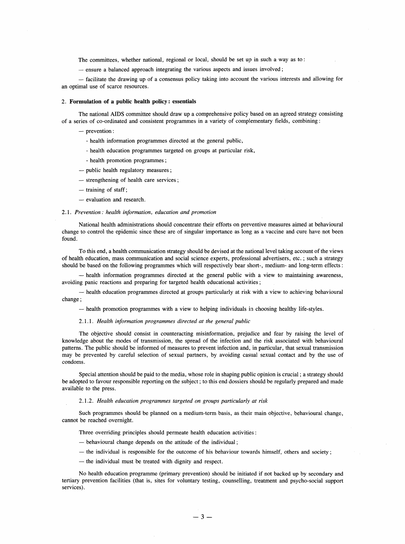The committees, whether national, regional or local, should be set up in such a way as to:

- ensure a balanced approach integrating the various aspects and issues involved;

- facilitate the drawing up of a consensus policy taking into account the various interests and allowing for an optimal use of scarce resources.

#### 2. Formulation of a public health policy: essentials

The national AIDS committee should draw up a comprehensive policy based on an agreed strategy consisting of a series of co-ordinated and consistent programmes in a variety of complementary fields, combining:

- prevention:
	- health information programmes directed at the general public,
	- health education programmes targeted on groups at particular risk,
	- health promotion programmes;
- public health regulatory measures;
- strengthening of health care services;
- $-$  training of staff;
- evaluation and research.

# 2.1. Prevention: health information, education and promotion

National health administrations should concentrate their efforts on preventive measures aimed at behavioural change to control the epidemic since these are of singular importance as long as a vaccine and cure have not been found.

To this end, a health communication strategy should be devised at the national level taking account of the views of health education, mass communication and social science experts, professional advertisers, etc.; such a strategy should be based on the following programmes which will respectively bear short-, medium- and long-term effects:

- health information programmes directed at the general public with a view to maintaining awareness, avoiding panic reactions and preparing for targeted health educational activities;

- health education programmes directed at groups particularly at risk with a view to achieving behavioural change;

- health promotion programmes with a view to helping individuals in choosing healthy life-styles.

# 2.1.1. Health information programmes directed at the general public

The objective should consist in counteracting misinformation, prejudice and fear by raising the level of knowledge about the modes of transmission, the spread of the infection and the risk associated with behavioural patterns. The public should be informed of measures to prevent infection and, in particular, that sexual transmission may be prevented by careful selection of sexual partners, by avoiding casual sexual contact and by the use of condoms.

Special attention should be paid to the media, whose role in shaping public opinion is crucial; a strategy should be adopted to favour responsible reporting on the subject; to this end dossiers should be regularly prepared and made available to the press.

2.1.2. Health education programmes targeted on groups particularly at risk

Such programmes should be planned on a medium-term basis, as their main objective, behavioural change, cannot be reached overnight.

Three overriding principles should permeate health education activities:

- behavioural change depends on the attitude of the individual;
- $-$  the individual is responsible for the outcome of his behaviour towards himself, others and society;
- the individual must be treated with dignity and respect.

No health education programme (primary prevention) should be initiated if not backed up by secondary and tertiary prevention facilities (that is, sites for voluntary testing, counselling, treatment and psycho-social support services).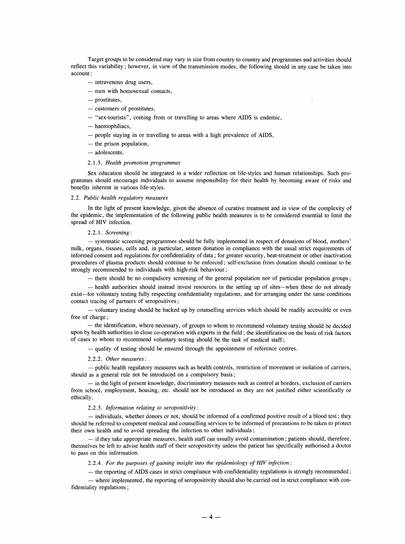Target groups to be considered may vary in size from country to country and programmes and activities should reflect this variability; however, in view of the transmission modes, the following should in any case be taken into account:

- $-$  intravenous drug users,
- men with homosexual contacts,
- prostitutes,
- customers of prostitutes,
- "sex-tourists", coming from or travelling to areas where AIDS is endemic,
- haemophiliacs,
- people staying in or travelling to areas with a high prevalence of AIDS,
- the prison population,
- adolescents.

#### 2.1.3. Health promotion programmes

Sex education should be integrated in a wider reflection on life-styles and human relationships. Such programmes should encourage individuals to assume responsibility for their health by becoming aware of risks and benefits inherent in various life-styles.

# 2.2. Public health regulatory measures

In the light of present knowledge, given the absence of curative treatment and in view of the complexity of the epidemic, the implementation of the following public health measures is to be considered essential to limit the spread of HIV infection.

#### 2.2.1. Screening:

- systematic screening programmes should be fully implemented in respect of donations of blood, mothers' milk, organs, tissues, cells and, in particular, semen donation in compliance with the usual strict requirements of informed consent and regulations for confidentiality of data; for greater security, heat-treatment or other inactivation procedures of plasma products should continue to be enforced; self-exclusion from donation should continue to be strongly recommended to individuals with high-risk behaviour;

- there should be no compulsory screening of the general population nor of particular population groups;

- health authorities should instead invest resources in the setting up of sites-when these do not already exist—for voluntary testing fully respecting confidentiality regulations, and for arranging under the same conditions contact tracing of partners of seropositives;

- voluntary testing should be backed up by counselling services which should be readily accessible or even free of charge;

- the identification, where necessary, of groups to whom to recommend voluntary testing should be decided upon by health authorities in close co-operation with experts in the field; the identification on the basis of risk factors of cases to whom to recommend voluntary testing should be the task of medical staff;

- quality of testing should be ensured through the appointment of reference centres.

#### 2.2.2. Other measures:

- public health regulatory measures such as health controls, restriction of movement or isolation of carriers, should as a general rule not be introduced on a compulsory basis;

- in the light of present knowledge, discriminatory measures such as control at borders, exclusion of carriers from school, employment, housing, etc. should not be introduced as they are not justified either scientifically or ethically.

2.2.3. Information relating to seropositivity:

- individuals, whether donors or not, should be informed of a confirmed positive result of a blood test; they should be referred to competent medical and counselling services to be informed of precautions to be taken to protect their own health and to avoid spreading the infection to other individuals;

- if they take appropriate measures, health staff can usually avoid contamination; patients should, therefore, themselves be left to advise health staff of their seropositivity unless the patient has specifically authorised a doctor to pass on this information.

2.2.4. For the purposes of gaining insight into the epidemiology of HIV infection:

- the reporting of AIDS cases in strict compliance with confidentiality regulations is strongly recommended;

- where implemented, the reporting of seropositivity should also be carried out in strict compliance with confidentiality regulations;